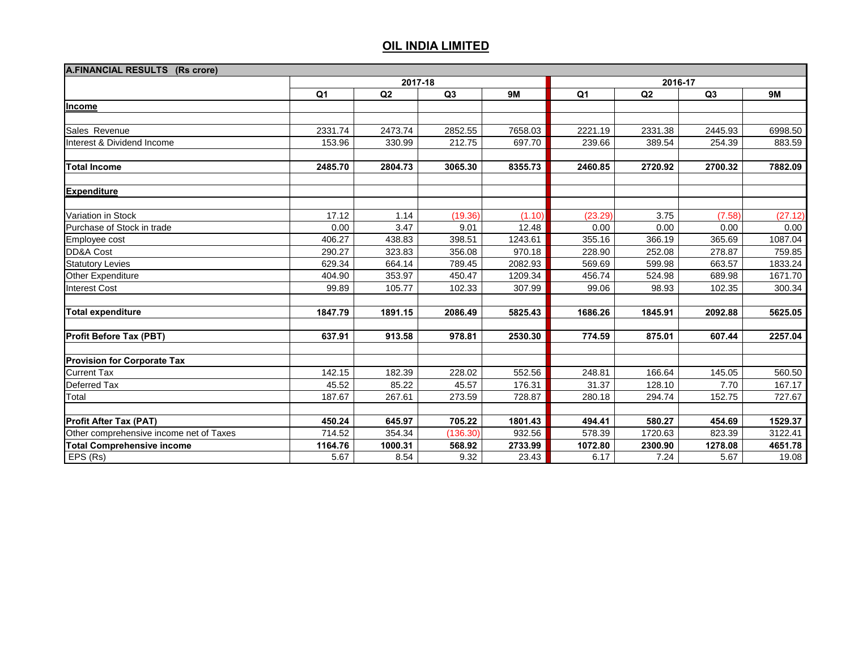| A.FINANCIAL RESULTS (Rs crore)          |         |         |                |           |                |         |         |           |  |
|-----------------------------------------|---------|---------|----------------|-----------|----------------|---------|---------|-----------|--|
|                                         | 2017-18 |         |                |           | 2016-17        |         |         |           |  |
|                                         | Q1      | Q2      | Q <sub>3</sub> | <b>9M</b> | Q <sub>1</sub> | Q2      | Q3      | <b>9M</b> |  |
| Income                                  |         |         |                |           |                |         |         |           |  |
|                                         |         |         |                |           |                |         |         |           |  |
| Sales Revenue                           | 2331.74 | 2473.74 | 2852.55        | 7658.03   | 2221.19        | 2331.38 | 2445.93 | 6998.50   |  |
| Interest & Dividend Income              | 153.96  | 330.99  | 212.75         | 697.70    | 239.66         | 389.54  | 254.39  | 883.59    |  |
|                                         |         |         |                |           |                |         |         |           |  |
| <b>Total Income</b>                     | 2485.70 | 2804.73 | 3065.30        | 8355.73   | 2460.85        | 2720.92 | 2700.32 | 7882.09   |  |
| <b>Expenditure</b>                      |         |         |                |           |                |         |         |           |  |
| Variation in Stock                      | 17.12   | 1.14    | (19.36)        | (1.10)    | (23.29)        | 3.75    | (7.58)  | (27.12)   |  |
| Purchase of Stock in trade              | 0.00    | 3.47    | 9.01           | 12.48     | 0.00           | 0.00    | 0.00    | 0.00      |  |
| Employee cost                           | 406.27  | 438.83  | 398.51         | 1243.61   | 355.16         | 366.19  | 365.69  | 1087.04   |  |
| DD&A Cost                               | 290.27  | 323.83  | 356.08         | 970.18    | 228.90         | 252.08  | 278.87  | 759.85    |  |
| <b>Statutory Levies</b>                 | 629.34  | 664.14  | 789.45         | 2082.93   | 569.69         | 599.98  | 663.57  | 1833.24   |  |
| Other Expenditure                       | 404.90  | 353.97  | 450.47         | 1209.34   | 456.74         | 524.98  | 689.98  | 1671.70   |  |
| <b>Interest Cost</b>                    | 99.89   | 105.77  | 102.33         | 307.99    | 99.06          | 98.93   | 102.35  | 300.34    |  |
| <b>Total expenditure</b>                | 1847.79 | 1891.15 | 2086.49        | 5825.43   | 1686.26        | 1845.91 | 2092.88 | 5625.05   |  |
| <b>Profit Before Tax (PBT)</b>          | 637.91  | 913.58  | 978.81         | 2530.30   | 774.59         | 875.01  | 607.44  | 2257.04   |  |
| <b>Provision for Corporate Tax</b>      |         |         |                |           |                |         |         |           |  |
| <b>Current Tax</b>                      | 142.15  | 182.39  | 228.02         | 552.56    | 248.81         | 166.64  | 145.05  | 560.50    |  |
| Deferred Tax                            | 45.52   | 85.22   | 45.57          | 176.31    | 31.37          | 128.10  | 7.70    | 167.17    |  |
| Total                                   | 187.67  | 267.61  | 273.59         | 728.87    | 280.18         | 294.74  | 152.75  | 727.67    |  |
|                                         |         |         |                |           |                |         |         |           |  |
| <b>Profit After Tax (PAT)</b>           | 450.24  | 645.97  | 705.22         | 1801.43   | 494.41         | 580.27  | 454.69  | 1529.37   |  |
| Other comprehensive income net of Taxes | 714.52  | 354.34  | (136.30)       | 932.56    | 578.39         | 1720.63 | 823.39  | 3122.41   |  |
| <b>Total Comprehensive income</b>       | 1164.76 | 1000.31 | 568.92         | 2733.99   | 1072.80        | 2300.90 | 1278.08 | 4651.78   |  |
| EPS (Rs)                                | 5.67    | 8.54    | 9.32           | 23.43     | 6.17           | 7.24    | 5.67    | 19.08     |  |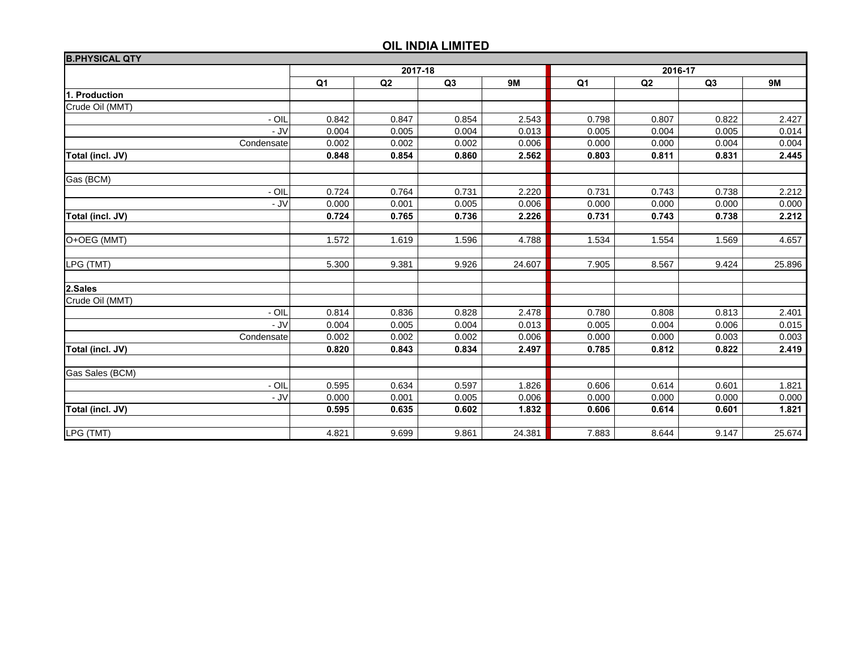| <b>B.PHYSICAL QTY</b> |                |       |                |           |                |                |                |           |
|-----------------------|----------------|-------|----------------|-----------|----------------|----------------|----------------|-----------|
|                       | 2017-18        |       |                | 2016-17   |                |                |                |           |
|                       | Q <sub>1</sub> | Q2    | Q <sub>3</sub> | <b>9M</b> | Q <sub>1</sub> | Q <sub>2</sub> | Q <sub>3</sub> | <b>9M</b> |
| 1. Production         |                |       |                |           |                |                |                |           |
| Crude Oil (MMT)       |                |       |                |           |                |                |                |           |
| - OIL                 | 0.842          | 0.847 | 0.854          | 2.543     | 0.798          | 0.807          | 0.822          | 2.427     |
| - JV                  | 0.004          | 0.005 | 0.004          | 0.013     | 0.005          | 0.004          | 0.005          | 0.014     |
| Condensate            | 0.002          | 0.002 | 0.002          | 0.006     | 0.000          | 0.000          | 0.004          | 0.004     |
| Total (incl. JV)      | 0.848          | 0.854 | 0.860          | 2.562     | 0.803          | 0.811          | 0.831          | 2.445     |
|                       |                |       |                |           |                |                |                |           |
| Gas (BCM)             |                |       |                |           |                |                |                |           |
| $-$ OIL               | 0.724          | 0.764 | 0.731          | 2.220     | 0.731          | 0.743          | 0.738          | 2.212     |
| - JV                  | 0.000          | 0.001 | 0.005          | 0.006     | 0.000          | 0.000          | 0.000          | 0.000     |
| Total (incl. JV)      | 0.724          | 0.765 | 0.736          | 2.226     | 0.731          | 0.743          | 0.738          | 2.212     |
|                       |                |       |                |           |                |                |                |           |
| O+OEG (MMT)           | 1.572          | 1.619 | 1.596          | 4.788     | 1.534          | 1.554          | 1.569          | 4.657     |
|                       |                |       |                |           |                |                |                |           |
| LPG (TMT)             | 5.300          | 9.381 | 9.926          | 24.607    | 7.905          | 8.567          | 9.424          | 25.896    |
|                       |                |       |                |           |                |                |                |           |
| 2.Sales               |                |       |                |           |                |                |                |           |
| Crude Oil (MMT)       |                |       |                |           |                |                |                |           |
| $-$ OIL               | 0.814          | 0.836 | 0.828          | 2.478     | 0.780          | 0.808          | 0.813          | 2.401     |
| - JV                  | 0.004          | 0.005 | 0.004          | 0.013     | 0.005          | 0.004          | 0.006          | 0.015     |
| Condensate            | 0.002          | 0.002 | 0.002          | 0.006     | 0.000          | 0.000          | 0.003          | 0.003     |
| Total (incl. JV)      | 0.820          | 0.843 | 0.834          | 2.497     | 0.785          | 0.812          | 0.822          | 2.419     |
| Gas Sales (BCM)       |                |       |                |           |                |                |                |           |
| $-$ OIL               | 0.595          | 0.634 | 0.597          | 1.826     | 0.606          | 0.614          | 0.601          | 1.821     |
| - JV                  | 0.000          | 0.001 | 0.005          | 0.006     | 0.000          | 0.000          | 0.000          | 0.000     |
| Total (incl. JV)      | 0.595          | 0.635 | 0.602          | 1.832     | 0.606          | 0.614          | 0.601          | 1.821     |
|                       |                |       |                |           |                |                |                |           |
| LPG (TMT)             | 4.821          | 9.699 | 9.861          | 24.381    | 7.883          | 8.644          | 9.147          | 25.674    |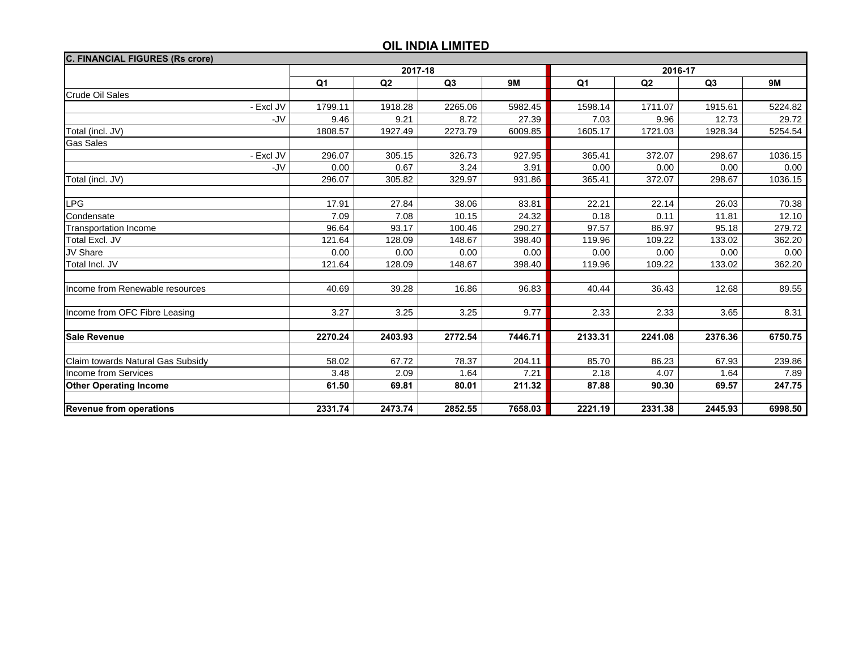| <b>C. FINANCIAL FIGURES (Rs crore)</b> |                |         |         |           |                |         |         |           |
|----------------------------------------|----------------|---------|---------|-----------|----------------|---------|---------|-----------|
|                                        | 2017-18        |         |         | 2016-17   |                |         |         |           |
|                                        | Q <sub>1</sub> | Q2      | Q3      | <b>9M</b> | Q <sub>1</sub> | Q2      | Q3      | <b>9M</b> |
| Crude Oil Sales                        |                |         |         |           |                |         |         |           |
| - Excl JV                              | 1799.11        | 1918.28 | 2265.06 | 5982.45   | 1598.14        | 1711.07 | 1915.61 | 5224.82   |
| -JV                                    | 9.46           | 9.21    | 8.72    | 27.39     | 7.03           | 9.96    | 12.73   | 29.72     |
| Total (incl. JV)                       | 1808.57        | 1927.49 | 2273.79 | 6009.85   | 1605.17        | 1721.03 | 1928.34 | 5254.54   |
| <b>Gas Sales</b>                       |                |         |         |           |                |         |         |           |
| - Excl JV                              | 296.07         | 305.15  | 326.73  | 927.95    | 365.41         | 372.07  | 298.67  | 1036.15   |
| -JV                                    | 0.00           | 0.67    | 3.24    | 3.91      | 0.00           | 0.00    | 0.00    | 0.00      |
| Total (incl. JV)                       | 296.07         | 305.82  | 329.97  | 931.86    | 365.41         | 372.07  | 298.67  | 1036.15   |
|                                        |                |         |         |           |                |         |         |           |
| <b>LPG</b>                             | 17.91          | 27.84   | 38.06   | 83.81     | 22.21          | 22.14   | 26.03   | 70.38     |
| Condensate                             | 7.09           | 7.08    | 10.15   | 24.32     | 0.18           | 0.11    | 11.81   | 12.10     |
| <b>Transportation Income</b>           | 96.64          | 93.17   | 100.46  | 290.27    | 97.57          | 86.97   | 95.18   | 279.72    |
| <b>Total Excl. JV</b>                  | 121.64         | 128.09  | 148.67  | 398.40    | 119.96         | 109.22  | 133.02  | 362.20    |
| <b>JV Share</b>                        | 0.00           | 0.00    | 0.00    | 0.00      | 0.00           | 0.00    | 0.00    | 0.00      |
| Total Incl. JV                         | 121.64         | 128.09  | 148.67  | 398.40    | 119.96         | 109.22  | 133.02  | 362.20    |
| Income from Renewable resources        | 40.69          | 39.28   | 16.86   | 96.83     | 40.44          | 36.43   | 12.68   | 89.55     |
| Income from OFC Fibre Leasing          | 3.27           | 3.25    | 3.25    | 9.77      | 2.33           | 2.33    | 3.65    | 8.31      |
| <b>Sale Revenue</b>                    | 2270.24        | 2403.93 | 2772.54 | 7446.71   | 2133.31        | 2241.08 | 2376.36 | 6750.75   |
|                                        |                |         |         |           |                |         |         |           |
| Claim towards Natural Gas Subsidy      | 58.02          | 67.72   | 78.37   | 204.11    | 85.70          | 86.23   | 67.93   | 239.86    |
| Income from Services                   | 3.48           | 2.09    | 1.64    | 7.21      | 2.18           | 4.07    | 1.64    | 7.89      |
| <b>Other Operating Income</b>          | 61.50          | 69.81   | 80.01   | 211.32    | 87.88          | 90.30   | 69.57   | 247.75    |
| <b>Revenue from operations</b>         | 2331.74        | 2473.74 | 2852.55 | 7658.03   | 2221.19        | 2331.38 | 2445.93 | 6998.50   |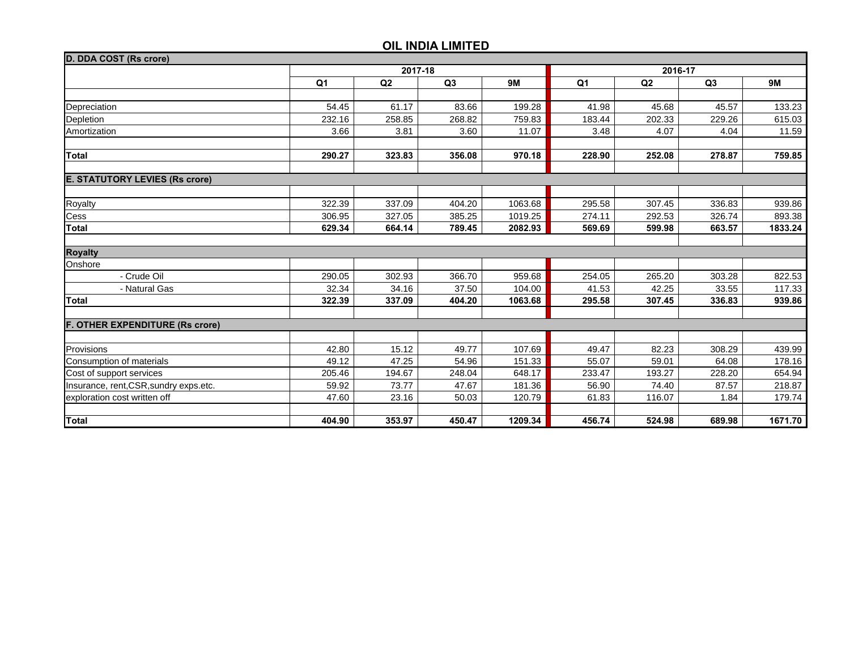| D. DDA COST (Rs crore)                 |         |        |                |           |                |                |        |           |
|----------------------------------------|---------|--------|----------------|-----------|----------------|----------------|--------|-----------|
|                                        | 2017-18 |        |                |           | 2016-17        |                |        |           |
|                                        | Q1      | Q2     | Q <sub>3</sub> | <b>9M</b> | Q <sub>1</sub> | Q <sub>2</sub> | Q3     | <b>9M</b> |
|                                        |         |        |                |           |                |                |        |           |
| Depreciation                           | 54.45   | 61.17  | 83.66          | 199.28    | 41.98          | 45.68          | 45.57  | 133.23    |
| Depletion                              | 232.16  | 258.85 | 268.82         | 759.83    | 183.44         | 202.33         | 229.26 | 615.03    |
| Amortization                           | 3.66    | 3.81   | 3.60           | 11.07     | 3.48           | 4.07           | 4.04   | 11.59     |
| <b>Total</b>                           | 290.27  | 323.83 | 356.08         | 970.18    | 228.90         | 252.08         | 278.87 | 759.85    |
|                                        |         |        |                |           |                |                |        |           |
| <b>E. STATUTORY LEVIES (Rs crore)</b>  |         |        |                |           |                |                |        |           |
|                                        |         |        |                |           |                |                |        |           |
| <b>Royalty</b>                         | 322.39  | 337.09 | 404.20         | 1063.68   | 295.58         | 307.45         | 336.83 | 939.86    |
| Cess                                   | 306.95  | 327.05 | 385.25         | 1019.25   | 274.11         | 292.53         | 326.74 | 893.38    |
| <b>Total</b>                           | 629.34  | 664.14 | 789.45         | 2082.93   | 569.69         | 599.98         | 663.57 | 1833.24   |
|                                        |         |        |                |           |                |                |        |           |
| <b>Royalty</b>                         |         |        |                |           |                |                |        |           |
| Onshore                                |         |        |                |           |                |                |        |           |
| - Crude Oil                            | 290.05  | 302.93 | 366.70         | 959.68    | 254.05         | 265.20         | 303.28 | 822.53    |
| - Natural Gas                          | 32.34   | 34.16  | 37.50          | 104.00    | 41.53          | 42.25          | 33.55  | 117.33    |
| <b>Total</b>                           | 322.39  | 337.09 | 404.20         | 1063.68   | 295.58         | 307.45         | 336.83 | 939.86    |
| <b>F. OTHER EXPENDITURE (Rs crore)</b> |         |        |                |           |                |                |        |           |
| Provisions                             | 42.80   | 15.12  | 49.77          | 107.69    | 49.47          | 82.23          | 308.29 | 439.99    |
| Consumption of materials               | 49.12   | 47.25  | 54.96          | 151.33    | 55.07          | 59.01          | 64.08  | 178.16    |
|                                        | 205.46  | 194.67 | 248.04         | 648.17    | 233.47         | 193.27         | 228.20 | 654.94    |
| Cost of support services               | 59.92   | 73.77  | 47.67          | 181.36    | 56.90          | 74.40          | 87.57  | 218.87    |
| Insurance, rent, CSR, sundry exps.etc. |         |        |                |           |                |                | 1.84   |           |
| exploration cost written off           | 47.60   | 23.16  | 50.03          | 120.79    | 61.83          | 116.07         |        | 179.74    |
| <b>Total</b>                           | 404.90  | 353.97 | 450.47         | 1209.34   | 456.74         | 524.98         | 689.98 | 1671.70   |